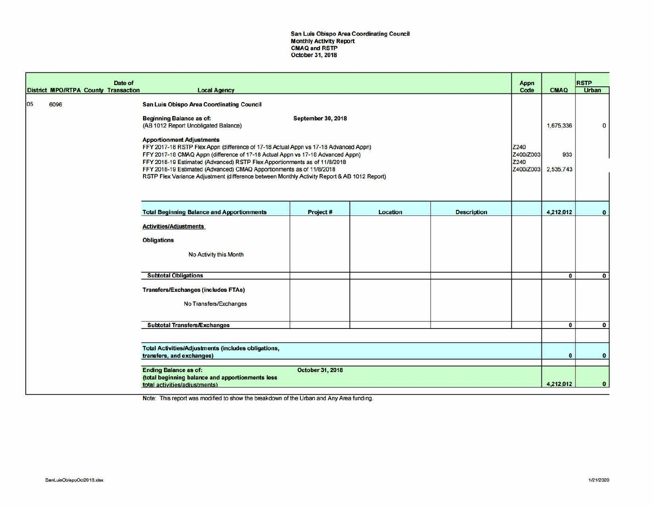San Luis Obispo Area Coordinating Council Monthly Activity Report CMAQ and RSTP October 31, 2018

|    |      | Date of<br><b>District MPO/RTPA County Transaction</b> | <b>Local Agency</b>                                                                                                                                                                                                                                                                                                                                                                                                                                                                                                                                                                          |                           |          |                    | Appn<br>Code                           | <b>CMAQ</b>                   | <b>RSTP</b><br><b>Urban</b> |
|----|------|--------------------------------------------------------|----------------------------------------------------------------------------------------------------------------------------------------------------------------------------------------------------------------------------------------------------------------------------------------------------------------------------------------------------------------------------------------------------------------------------------------------------------------------------------------------------------------------------------------------------------------------------------------------|---------------------------|----------|--------------------|----------------------------------------|-------------------------------|-----------------------------|
| 05 | 6096 |                                                        | <b>San Luis Obispo Area Coordinating Council</b><br><b>Beginning Balance as of.</b><br>(AB 1012 Report Unobligated Balance)<br><b>Apportionment Adjustments</b><br>FFY 2017-18 RSTP Flex Appn (difference of 17-18 Actual Appn vs 17-18 Advanced Appn)<br>FFY 2017-18 CMAQ Appn (difference of 17-18 Actual Appn vs 17-18 Advanced Appn)<br>FFY 2018-19 Estimated (Advanced) RSTP Flex Apportionments as of 11/8/2018<br>FFY 2018-19 Estimated (Advanced) CMAQ Apportionments as of 11/8/2018<br>RSTP Flex Variance Adjustment (difference between Monthly Activity Report & AB 1012 Report) | <b>September 30, 2018</b> |          |                    | Z240<br>Z400/Z003<br>Z240<br>Z400/Z003 | 1,675,336<br>933<br>2,535,743 | $\mathbf 0$                 |
|    |      |                                                        | <b>Total Beginning Balance and Apportionments</b>                                                                                                                                                                                                                                                                                                                                                                                                                                                                                                                                            | Project#                  | Location | <b>Description</b> |                                        | 4,212,012                     | $\bullet$                   |
|    |      |                                                        | <b>Activities/Adjustments</b><br><b>Obligations</b><br>No Activity this Month                                                                                                                                                                                                                                                                                                                                                                                                                                                                                                                |                           |          |                    |                                        |                               |                             |
|    |      |                                                        | <b>Subtotal Obligations</b>                                                                                                                                                                                                                                                                                                                                                                                                                                                                                                                                                                  |                           |          |                    |                                        | $\bullet$                     | $\mathbf{0}$                |
|    |      |                                                        | <b>Transfers/Exchanges (includes FTAs)</b><br>No Transfers/Exchanges                                                                                                                                                                                                                                                                                                                                                                                                                                                                                                                         |                           |          |                    |                                        |                               |                             |
|    |      |                                                        | <b>Subtotal Transfers/Exchanges</b>                                                                                                                                                                                                                                                                                                                                                                                                                                                                                                                                                          |                           |          |                    |                                        | $\mathbf{0}$                  | $\bullet$                   |
|    |      |                                                        |                                                                                                                                                                                                                                                                                                                                                                                                                                                                                                                                                                                              |                           |          |                    |                                        |                               |                             |
|    |      |                                                        | <b>Total Activities/Adjustments (includes obligations,</b><br>transfers, and exchanges)                                                                                                                                                                                                                                                                                                                                                                                                                                                                                                      |                           |          |                    |                                        | $\mathbf{0}$                  | $\mathbf{0}$                |
|    |      |                                                        | <b>Ending Balance as of:</b><br>(total beginning balance and apportionments less<br>total activities/adjustments)                                                                                                                                                                                                                                                                                                                                                                                                                                                                            | <b>October 31, 2018</b>   |          |                    |                                        | 4,212,012                     | $\bullet$                   |

Note: This report was modified to show the breakdown of the Urban and Any Area funding.